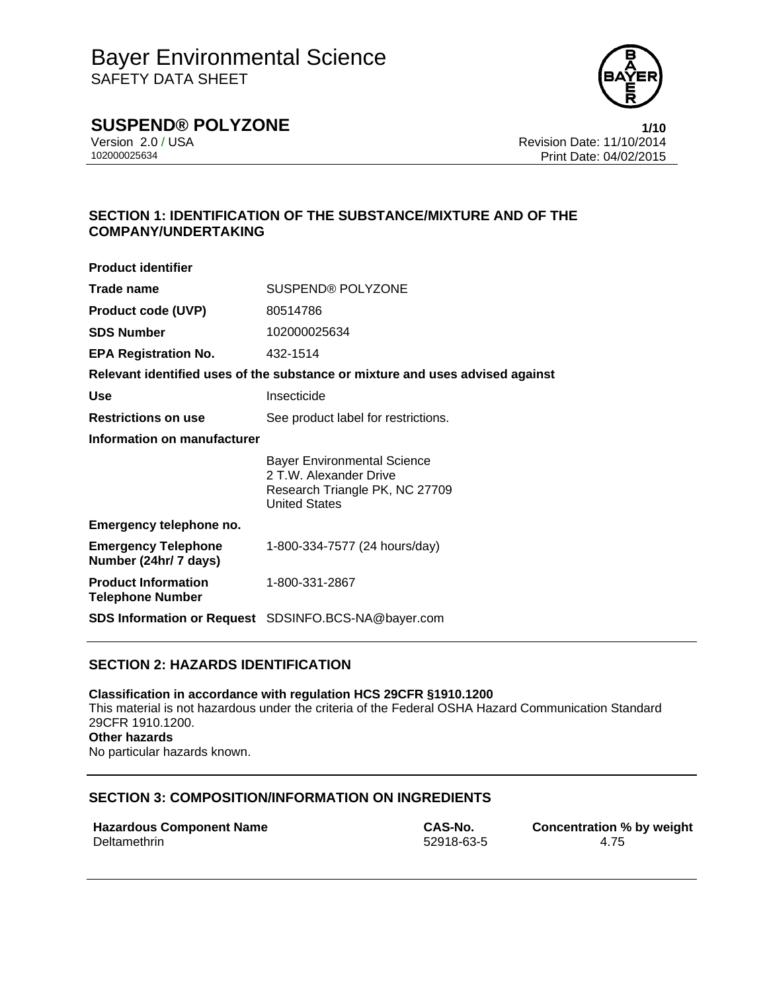

# **SUSPEND® POLYZONE 1/10**

Version 2.0 / USA Revision Date: 11/10/2014<br>102000025634<br>Print Date: 04/02/2015 Print Date: 04/02/2015

# **SECTION 1: IDENTIFICATION OF THE SUBSTANCE/MIXTURE AND OF THE COMPANY/UNDERTAKING**

| <b>Product identifier</b>                             |                                                                                                                        |  |
|-------------------------------------------------------|------------------------------------------------------------------------------------------------------------------------|--|
| Trade name                                            | <b>SUSPEND® POLYZONE</b>                                                                                               |  |
| <b>Product code (UVP)</b>                             | 80514786                                                                                                               |  |
| <b>SDS Number</b>                                     | 102000025634                                                                                                           |  |
| <b>EPA Registration No.</b>                           | 432-1514                                                                                                               |  |
|                                                       | Relevant identified uses of the substance or mixture and uses advised against                                          |  |
| Use                                                   | Insecticide                                                                                                            |  |
| <b>Restrictions on use</b>                            | See product label for restrictions.                                                                                    |  |
| Information on manufacturer                           |                                                                                                                        |  |
|                                                       | <b>Bayer Environmental Science</b><br>2 T.W. Alexander Drive<br>Research Triangle PK, NC 27709<br><b>United States</b> |  |
| Emergency telephone no.                               |                                                                                                                        |  |
| <b>Emergency Telephone</b><br>Number (24hr/ 7 days)   | 1-800-334-7577 (24 hours/day)                                                                                          |  |
| <b>Product Information</b><br><b>Telephone Number</b> | 1-800-331-2867                                                                                                         |  |
|                                                       | <b>SDS Information or Request</b> SDSINFO.BCS-NA@bayer.com                                                             |  |

## **SECTION 2: HAZARDS IDENTIFICATION**

**Classification in accordance with regulation HCS 29CFR §1910.1200**  This material is not hazardous under the criteria of the Federal OSHA Hazard Communication Standard 29CFR 1910.1200. **Other hazards**  No particular hazards known.

### **SECTION 3: COMPOSITION/INFORMATION ON INGREDIENTS**

| <b>Hazardous Component Name</b> |  |
|---------------------------------|--|
| Deltamethrin                    |  |

**CAS-No. Concentration % by weight** Deltamethrin 52918-63-5 4.75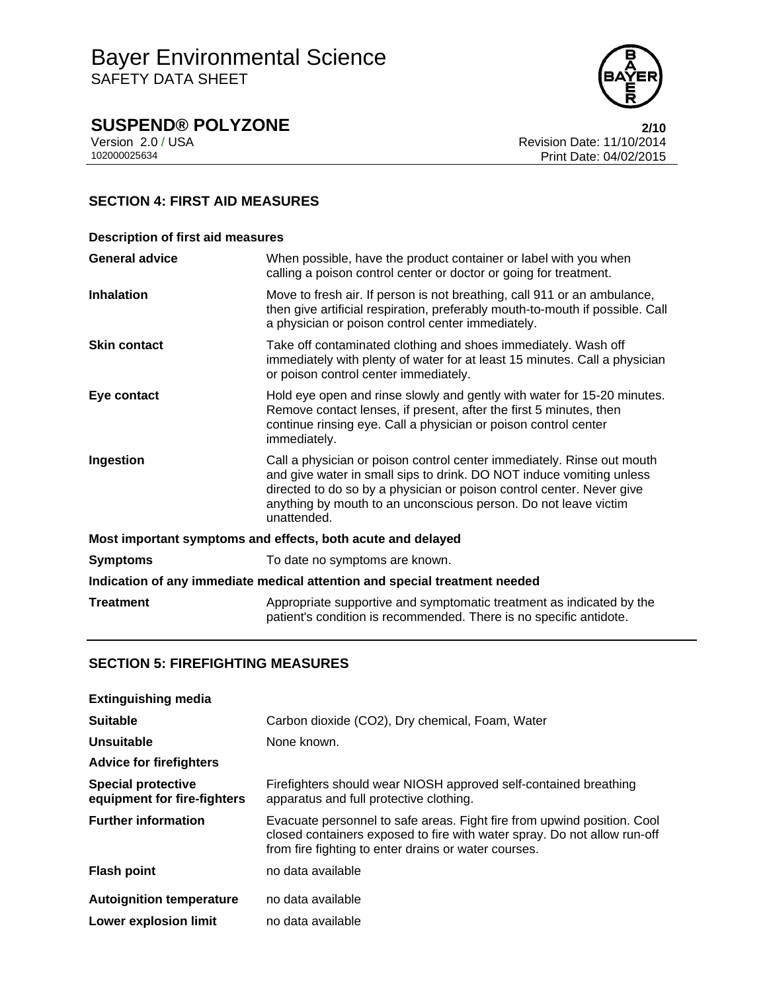

# **SUSPEND® POLYZONE**<br>Version 2.0 / USA **2/10**<br>Revision Date: 11/10/2014

Version 2.0 / USA Revision Date: 11/10/2014<br>102000025634<br>Print Date: 04/02/2015 Print Date: 04/02/2015

# **SECTION 4: FIRST AID MEASURES**

| <b>Description of first aid measures</b>                                   |                                                                                                                                                                                                                                                                                                           |  |
|----------------------------------------------------------------------------|-----------------------------------------------------------------------------------------------------------------------------------------------------------------------------------------------------------------------------------------------------------------------------------------------------------|--|
| <b>General advice</b>                                                      | When possible, have the product container or label with you when<br>calling a poison control center or doctor or going for treatment.                                                                                                                                                                     |  |
| <b>Inhalation</b>                                                          | Move to fresh air. If person is not breathing, call 911 or an ambulance,<br>then give artificial respiration, preferably mouth-to-mouth if possible. Call<br>a physician or poison control center immediately.                                                                                            |  |
| <b>Skin contact</b>                                                        | Take off contaminated clothing and shoes immediately. Wash off<br>immediately with plenty of water for at least 15 minutes. Call a physician<br>or poison control center immediately.                                                                                                                     |  |
| Eye contact                                                                | Hold eye open and rinse slowly and gently with water for 15-20 minutes.<br>Remove contact lenses, if present, after the first 5 minutes, then<br>continue rinsing eye. Call a physician or poison control center<br>immediately.                                                                          |  |
| Ingestion                                                                  | Call a physician or poison control center immediately. Rinse out mouth<br>and give water in small sips to drink. DO NOT induce vomiting unless<br>directed to do so by a physician or poison control center. Never give<br>anything by mouth to an unconscious person. Do not leave victim<br>unattended. |  |
| Most important symptoms and effects, both acute and delayed                |                                                                                                                                                                                                                                                                                                           |  |
| <b>Symptoms</b>                                                            | To date no symptoms are known.                                                                                                                                                                                                                                                                            |  |
| Indication of any immediate medical attention and special treatment needed |                                                                                                                                                                                                                                                                                                           |  |
| <b>Treatment</b>                                                           | Appropriate supportive and symptomatic treatment as indicated by the<br>patient's condition is recommended. There is no specific antidote.                                                                                                                                                                |  |

# **SECTION 5: FIREFIGHTING MEASURES**

| <b>Extinguishing media</b>                               |                                                                                                                                                                                                             |
|----------------------------------------------------------|-------------------------------------------------------------------------------------------------------------------------------------------------------------------------------------------------------------|
| <b>Suitable</b>                                          | Carbon dioxide (CO2), Dry chemical, Foam, Water                                                                                                                                                             |
| Unsuitable                                               | None known.                                                                                                                                                                                                 |
| <b>Advice for firefighters</b>                           |                                                                                                                                                                                                             |
| <b>Special protective</b><br>equipment for fire-fighters | Firefighters should wear NIOSH approved self-contained breathing<br>apparatus and full protective clothing.                                                                                                 |
| <b>Further information</b>                               | Evacuate personnel to safe areas. Fight fire from upwind position. Cool<br>closed containers exposed to fire with water spray. Do not allow run-off<br>from fire fighting to enter drains or water courses. |
| <b>Flash point</b>                                       | no data available                                                                                                                                                                                           |
| <b>Autoignition temperature</b>                          | no data available                                                                                                                                                                                           |
| Lower explosion limit                                    | no data available                                                                                                                                                                                           |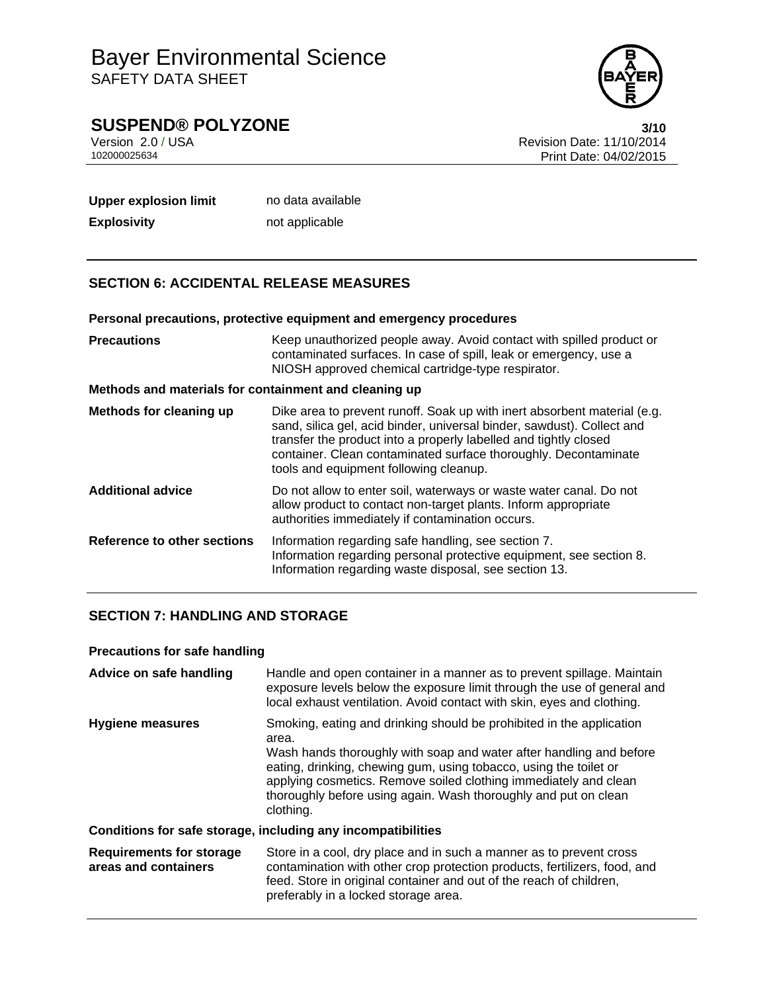

**SUSPEND® POLYZONE**<br>Version 2.0 / USA **3/10**<br>Revision Date: 11/10/2014

Version 2.0 / USA Revision Date: 11/10/2014<br>102000025634<br>Print Date: 04/02/2015 Print Date: 04/02/2015

| <b>Upper explosion limit</b> | no data available |
|------------------------------|-------------------|
| <b>Explosivity</b>           | not applicable    |

## **SECTION 6: ACCIDENTAL RELEASE MEASURES**

#### **Personal precautions, protective equipment and emergency procedures**

| <b>Precautions</b>                                    | Keep unauthorized people away. Avoid contact with spilled product or<br>contaminated surfaces. In case of spill, leak or emergency, use a<br>NIOSH approved chemical cartridge-type respirator.                                                                                                                                     |
|-------------------------------------------------------|-------------------------------------------------------------------------------------------------------------------------------------------------------------------------------------------------------------------------------------------------------------------------------------------------------------------------------------|
| Methods and materials for containment and cleaning up |                                                                                                                                                                                                                                                                                                                                     |
| Methods for cleaning up                               | Dike area to prevent runoff. Soak up with inert absorbent material (e.g.<br>sand, silica gel, acid binder, universal binder, sawdust). Collect and<br>transfer the product into a properly labelled and tightly closed<br>container. Clean contaminated surface thoroughly. Decontaminate<br>tools and equipment following cleanup. |
| <b>Additional advice</b>                              | Do not allow to enter soil, waterways or waste water canal. Do not<br>allow product to contact non-target plants. Inform appropriate<br>authorities immediately if contamination occurs.                                                                                                                                            |
| <b>Reference to other sections</b>                    | Information regarding safe handling, see section 7.<br>Information regarding personal protective equipment, see section 8.<br>Information regarding waste disposal, see section 13.                                                                                                                                                 |

# **SECTION 7: HANDLING AND STORAGE**

# **Precautions for safe handling**

| Advice on safe handling                                 | Handle and open container in a manner as to prevent spillage. Maintain<br>exposure levels below the exposure limit through the use of general and<br>local exhaust ventilation. Avoid contact with skin, eyes and clothing.                                                                                                                                                   |
|---------------------------------------------------------|-------------------------------------------------------------------------------------------------------------------------------------------------------------------------------------------------------------------------------------------------------------------------------------------------------------------------------------------------------------------------------|
| <b>Hygiene measures</b>                                 | Smoking, eating and drinking should be prohibited in the application<br>area.<br>Wash hands thoroughly with soap and water after handling and before<br>eating, drinking, chewing gum, using tobacco, using the toilet or<br>applying cosmetics. Remove soiled clothing immediately and clean<br>thoroughly before using again. Wash thoroughly and put on clean<br>clothing. |
|                                                         | Conditions for safe storage, including any incompatibilities                                                                                                                                                                                                                                                                                                                  |
| <b>Requirements for storage</b><br>areas and containers | Store in a cool, dry place and in such a manner as to prevent cross<br>contamination with other crop protection products, fertilizers, food, and<br>feed. Store in original container and out of the reach of children,                                                                                                                                                       |

preferably in a locked storage area.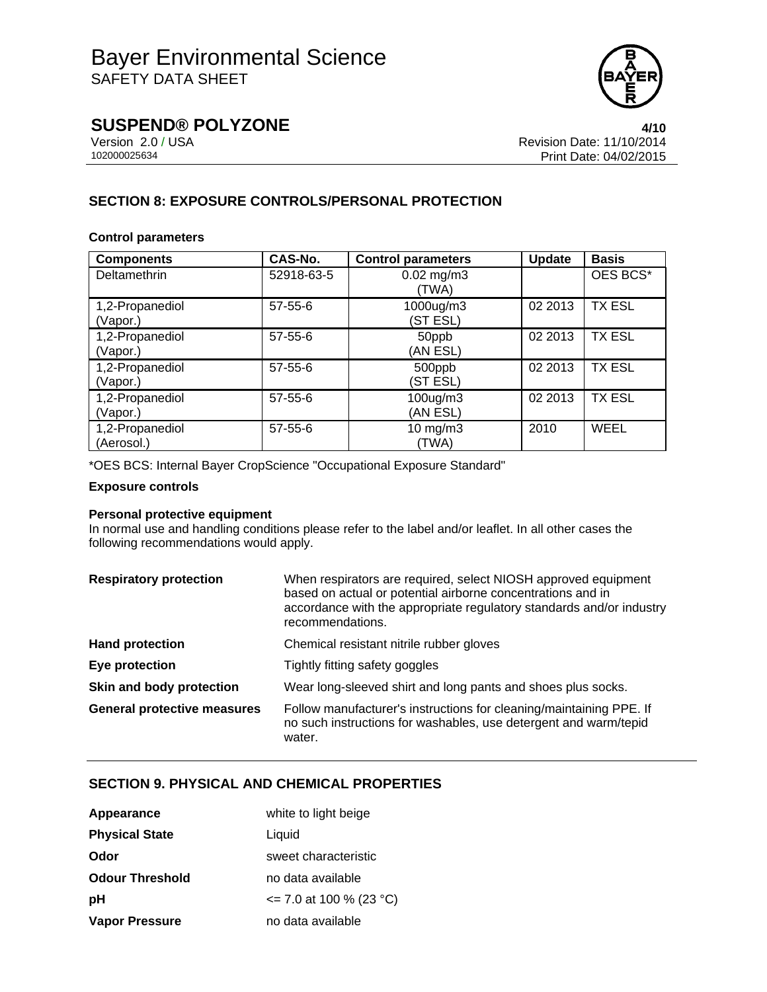

**SUSPEND® POLYZONE 4/10**

Version 2.0 / USA Revision Date: 11/10/2014<br>102000025634<br>Print Date: 04/02/2015 Print Date: 04/02/2015

# **SECTION 8: EXPOSURE CONTROLS/PERSONAL PROTECTION**

### **Control parameters**

| <b>Components</b>             | <b>CAS-No.</b> | <b>Control parameters</b>  | Update  | <b>Basis</b>  |
|-------------------------------|----------------|----------------------------|---------|---------------|
| Deltamethrin                  | 52918-63-5     | $0.02$ mg/m3<br>(TWA)      |         | OES BCS*      |
| 1,2-Propanediol<br>(Vapor.)   | $57 - 55 - 6$  | 1000ug/m3<br>(ST ESL)      | 02 2013 | <b>TX ESL</b> |
| 1,2-Propanediol<br>(Vapor.)   | $57 - 55 - 6$  | 50ppb<br>(AN ESL)          | 02 2013 | <b>TX ESL</b> |
| 1,2-Propanediol<br>(Vapor.)   | $57 - 55 - 6$  | 500ppb<br>(ST ESL)         | 02 2013 | <b>TX ESL</b> |
| 1,2-Propanediol<br>(Vapor.)   | $57 - 55 - 6$  | 100ug/m3<br>(AN ESL)       | 02 2013 | <b>TX ESL</b> |
| 1,2-Propanediol<br>(Aerosol.) | $57 - 55 - 6$  | $10 \text{ mg/m}$<br>(TWA) | 2010    | WEEL          |

\*OES BCS: Internal Bayer CropScience "Occupational Exposure Standard"

#### **Exposure controls**

### **Personal protective equipment**

In normal use and handling conditions please refer to the label and/or leaflet. In all other cases the following recommendations would apply.

| <b>Respiratory protection</b>      | When respirators are required, select NIOSH approved equipment<br>based on actual or potential airborne concentrations and in<br>accordance with the appropriate regulatory standards and/or industry<br>recommendations. |
|------------------------------------|---------------------------------------------------------------------------------------------------------------------------------------------------------------------------------------------------------------------------|
| <b>Hand protection</b>             | Chemical resistant nitrile rubber gloves                                                                                                                                                                                  |
| Eye protection                     | Tightly fitting safety goggles                                                                                                                                                                                            |
| Skin and body protection           | Wear long-sleeved shirt and long pants and shoes plus socks.                                                                                                                                                              |
| <b>General protective measures</b> | Follow manufacturer's instructions for cleaning/maintaining PPE. If<br>no such instructions for washables, use detergent and warm/tepid<br>water.                                                                         |

### **SECTION 9. PHYSICAL AND CHEMICAL PROPERTIES**

| Appearance             | white to light beige       |
|------------------------|----------------------------|
| <b>Physical State</b>  | Liquid                     |
| Odor                   | sweet characteristic       |
| <b>Odour Threshold</b> | no data available          |
| рH                     | $\le$ 7.0 at 100 % (23 °C) |
| Vapor Pressure         | no data available          |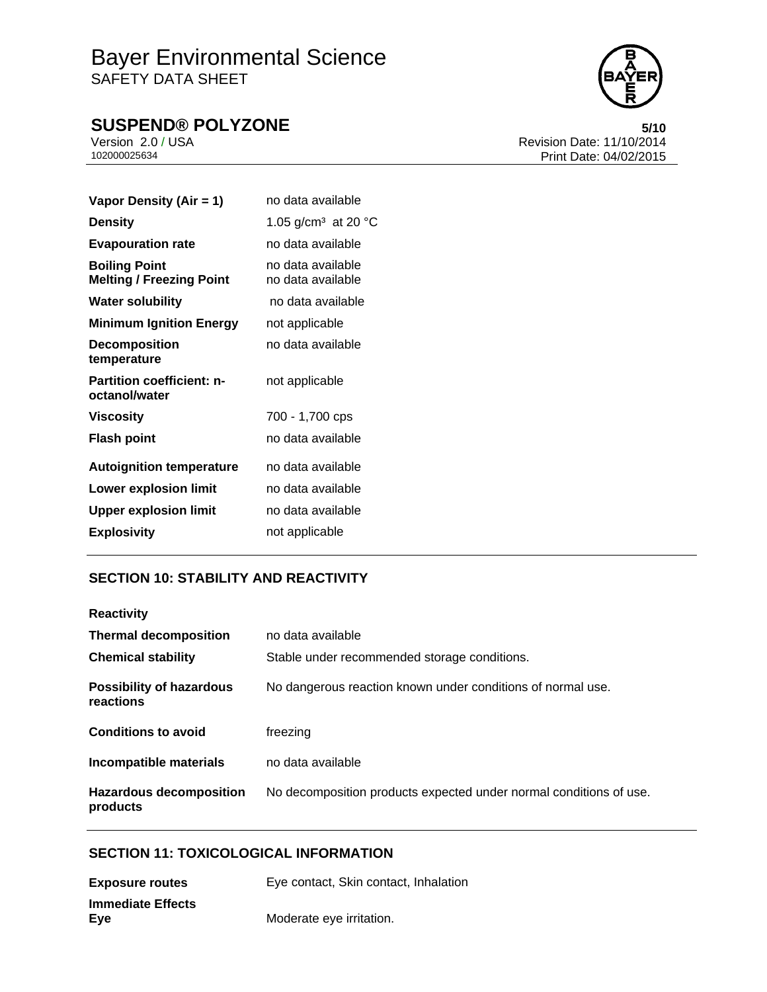# Bayer Environmental Science SAFETY DATA SHEET

# **SUSPEND® POLYZONE** 5/10<br>Version 2.0 / USA 6/10 Revision Date: 11/10/2014



Version 2.0 / USA Revision Date: 11/10/2014<br>102000025634<br>Print Date: 04/02/2015 Print Date: 04/02/2015

| Vapor Density (Air = 1)                                 | no data available                         |
|---------------------------------------------------------|-------------------------------------------|
| <b>Density</b>                                          | 1.05 g/cm <sup>3</sup> at 20 $^{\circ}$ C |
| <b>Evapouration rate</b>                                | no data available                         |
| <b>Boiling Point</b><br><b>Melting / Freezing Point</b> | no data available.<br>no data available   |
| <b>Water solubility</b>                                 | no data available                         |
| <b>Minimum Ignition Energy</b>                          | not applicable                            |
| <b>Decomposition</b><br>temperature                     | no data available                         |
| <b>Partition coefficient: n-</b><br>octanol/water       | not applicable                            |
| <b>Viscosity</b>                                        | 700 - 1,700 cps                           |
| <b>Flash point</b>                                      | no data available                         |
| <b>Autoignition temperature</b>                         | no data available                         |
| <b>Lower explosion limit</b>                            | no data available                         |
| <b>Upper explosion limit</b>                            | no data available                         |
| <b>Explosivity</b>                                      | not applicable                            |
|                                                         |                                           |

# **SECTION 10: STABILITY AND REACTIVITY**

| <b>Reactivity</b>                            |                                                                    |
|----------------------------------------------|--------------------------------------------------------------------|
| <b>Thermal decomposition</b>                 | no data available                                                  |
| <b>Chemical stability</b>                    | Stable under recommended storage conditions.                       |
| <b>Possibility of hazardous</b><br>reactions | No dangerous reaction known under conditions of normal use.        |
| <b>Conditions to avoid</b>                   | freezing                                                           |
| Incompatible materials                       | no data available                                                  |
| <b>Hazardous decomposition</b><br>products   | No decomposition products expected under normal conditions of use. |

# **SECTION 11: TOXICOLOGICAL INFORMATION**

| <b>Exposure routes</b>   | Eye contact, Skin contact, Inhalation |
|--------------------------|---------------------------------------|
| <b>Immediate Effects</b> |                                       |
| Eye                      | Moderate eye irritation.              |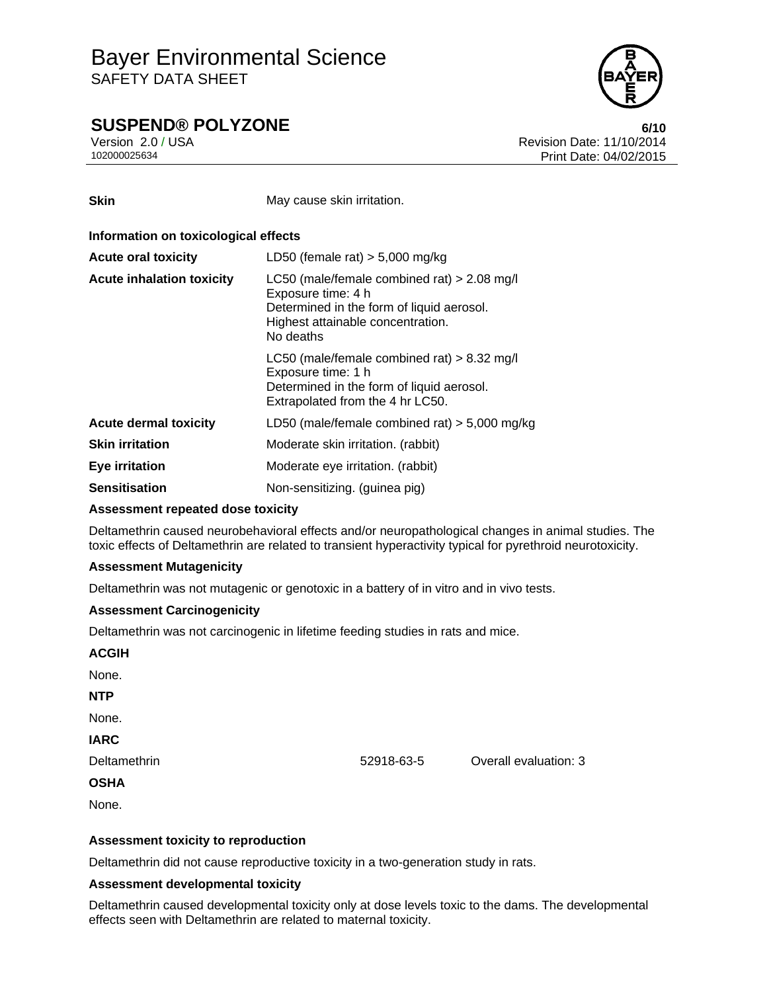

# **SUSPEND® POLYZONE 6/10**

Version 2.0 / USA **Version 2.0 / USA** Revision Date: 11/10/2014<br>102000025634 **Print Date: 04/02/2015** Print Date: 04/02/2015

**Skin** May cause skin irritation.

| Information on toxicological effects |                                                                                                                                                                    |  |  |
|--------------------------------------|--------------------------------------------------------------------------------------------------------------------------------------------------------------------|--|--|
| <b>Acute oral toxicity</b>           | LD50 (female rat) $> 5,000$ mg/kg                                                                                                                                  |  |  |
| <b>Acute inhalation toxicity</b>     | LC50 (male/female combined rat) $> 2.08$ mg/l<br>Exposure time: 4 h<br>Determined in the form of liquid aerosol.<br>Highest attainable concentration.<br>No deaths |  |  |
|                                      | LC50 (male/female combined rat) $> 8.32$ mg/l<br>Exposure time: 1 h<br>Determined in the form of liquid aerosol.<br>Extrapolated from the 4 hr LC50.               |  |  |
| <b>Acute dermal toxicity</b>         | LD50 (male/female combined rat) $>$ 5,000 mg/kg                                                                                                                    |  |  |
| <b>Skin irritation</b>               | Moderate skin irritation. (rabbit)                                                                                                                                 |  |  |
| Eye irritation                       | Moderate eye irritation. (rabbit)                                                                                                                                  |  |  |
| <b>Sensitisation</b>                 | Non-sensitizing. (guinea pig)                                                                                                                                      |  |  |

### **Assessment repeated dose toxicity**

Deltamethrin caused neurobehavioral effects and/or neuropathological changes in animal studies. The toxic effects of Deltamethrin are related to transient hyperactivity typical for pyrethroid neurotoxicity.

### **Assessment Mutagenicity**

Deltamethrin was not mutagenic or genotoxic in a battery of in vitro and in vivo tests.

### **Assessment Carcinogenicity**

Deltamethrin was not carcinogenic in lifetime feeding studies in rats and mice.

| <b>ACGIH</b> |            |                       |
|--------------|------------|-----------------------|
| None.        |            |                       |
| <b>NTP</b>   |            |                       |
| None.        |            |                       |
| <b>IARC</b>  |            |                       |
| Deltamethrin | 52918-63-5 | Overall evaluation: 3 |
| <b>OSHA</b>  |            |                       |
| None.        |            |                       |
|              |            |                       |

### **Assessment toxicity to reproduction**

Deltamethrin did not cause reproductive toxicity in a two-generation study in rats.

### **Assessment developmental toxicity**

Deltamethrin caused developmental toxicity only at dose levels toxic to the dams. The developmental effects seen with Deltamethrin are related to maternal toxicity.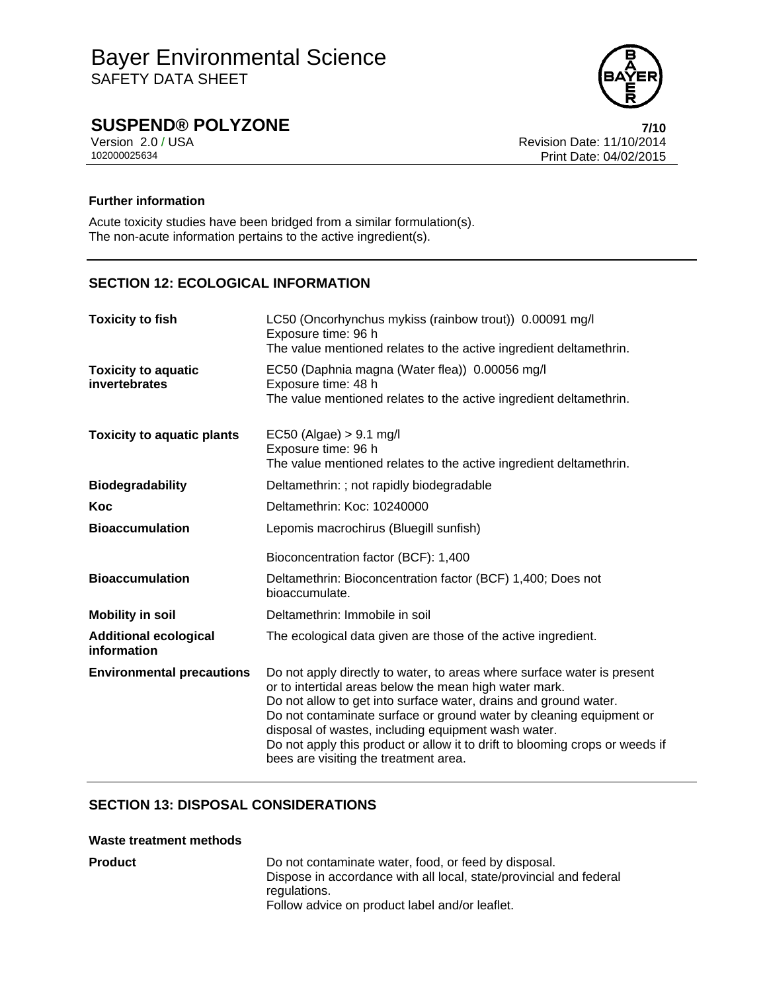

# **SUSPEND® POLYZONE 7/10**

Version 2.0 / USA Revision Date: 11/10/2014<br>102000025634<br>Print Date: 04/02/2015 Print Date: 04/02/2015

### **Further information**

Acute toxicity studies have been bridged from a similar formulation(s). The non-acute information pertains to the active ingredient(s).

# **SECTION 12: ECOLOGICAL INFORMATION**

| <b>Toxicity to fish</b>                     | LC50 (Oncorhynchus mykiss (rainbow trout)) 0.00091 mg/l<br>Exposure time: 96 h<br>The value mentioned relates to the active ingredient deltamethrin.                                                                                                                                                                                                                                                                                                         |  |  |
|---------------------------------------------|--------------------------------------------------------------------------------------------------------------------------------------------------------------------------------------------------------------------------------------------------------------------------------------------------------------------------------------------------------------------------------------------------------------------------------------------------------------|--|--|
| <b>Toxicity to aquatic</b><br>invertebrates | EC50 (Daphnia magna (Water flea)) 0.00056 mg/l<br>Exposure time: 48 h<br>The value mentioned relates to the active ingredient deltamethrin.                                                                                                                                                                                                                                                                                                                  |  |  |
| <b>Toxicity to aquatic plants</b>           | $EC50$ (Algae) > 9.1 mg/l<br>Exposure time: 96 h<br>The value mentioned relates to the active ingredient deltamethrin.                                                                                                                                                                                                                                                                                                                                       |  |  |
| <b>Biodegradability</b>                     | Deltamethrin: ; not rapidly biodegradable                                                                                                                                                                                                                                                                                                                                                                                                                    |  |  |
| Koc                                         | Deltamethrin: Koc: 10240000                                                                                                                                                                                                                                                                                                                                                                                                                                  |  |  |
| <b>Bioaccumulation</b>                      | Lepomis macrochirus (Bluegill sunfish)                                                                                                                                                                                                                                                                                                                                                                                                                       |  |  |
|                                             | Bioconcentration factor (BCF): 1,400                                                                                                                                                                                                                                                                                                                                                                                                                         |  |  |
| <b>Bioaccumulation</b>                      | Deltamethrin: Bioconcentration factor (BCF) 1,400; Does not<br>bioaccumulate.                                                                                                                                                                                                                                                                                                                                                                                |  |  |
| <b>Mobility in soil</b>                     | Deltamethrin: Immobile in soil                                                                                                                                                                                                                                                                                                                                                                                                                               |  |  |
| <b>Additional ecological</b><br>information | The ecological data given are those of the active ingredient.                                                                                                                                                                                                                                                                                                                                                                                                |  |  |
| <b>Environmental precautions</b>            | Do not apply directly to water, to areas where surface water is present<br>or to intertidal areas below the mean high water mark.<br>Do not allow to get into surface water, drains and ground water.<br>Do not contaminate surface or ground water by cleaning equipment or<br>disposal of wastes, including equipment wash water.<br>Do not apply this product or allow it to drift to blooming crops or weeds if<br>bees are visiting the treatment area. |  |  |

## **SECTION 13: DISPOSAL CONSIDERATIONS**

### **Waste treatment methods**

**Product** Do not contaminate water, food, or feed by disposal. Dispose in accordance with all local, state/provincial and federal regulations. Follow advice on product label and/or leaflet.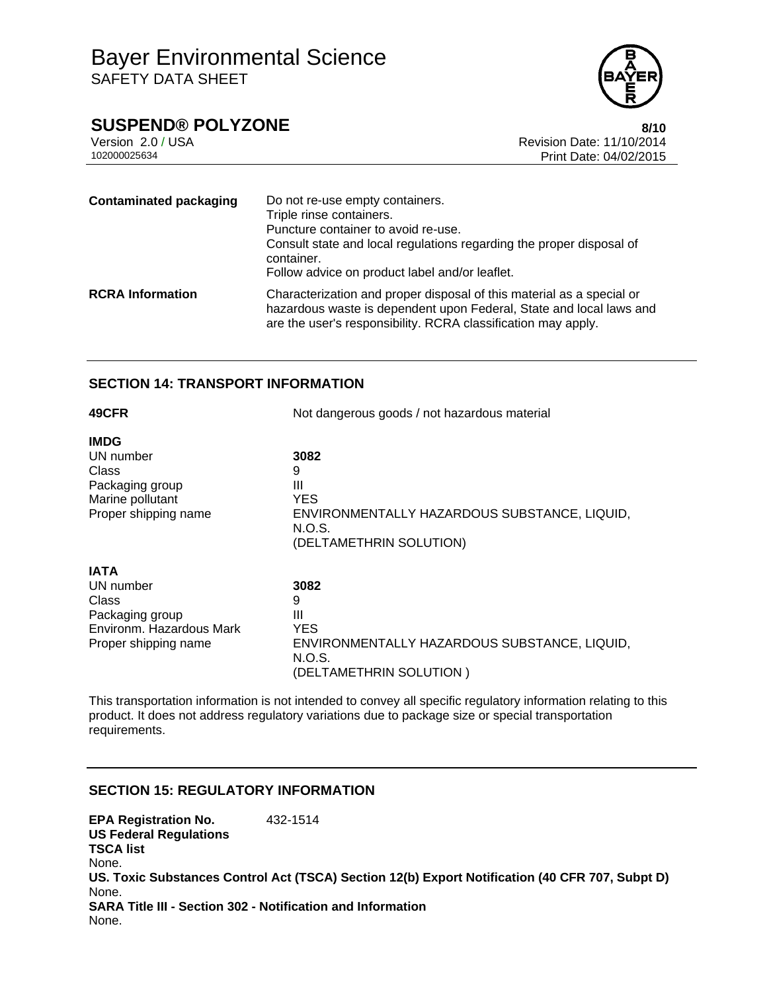

# **SUSPEND® POLYZONE 8/10**

Version 2.0 / USA Revision Date: 11/10/2014<br>102000025634<br>Print Date: 04/02/2015 Print Date: 04/02/2015

| <b>Contaminated packaging</b> | Do not re-use empty containers.<br>Triple rinse containers.<br>Puncture container to avoid re-use.<br>Consult state and local regulations regarding the proper disposal of<br>container.<br>Follow advice on product label and/or leaflet. |
|-------------------------------|--------------------------------------------------------------------------------------------------------------------------------------------------------------------------------------------------------------------------------------------|
| <b>RCRA Information</b>       | Characterization and proper disposal of this material as a special or<br>hazardous waste is dependent upon Federal, State and local laws and<br>are the user's responsibility. RCRA classification may apply.                              |

### **SECTION 14: TRANSPORT INFORMATION**

| 49CFR                    | Not dangerous goods / not hazardous material           |  |
|--------------------------|--------------------------------------------------------|--|
| <b>IMDG</b>              |                                                        |  |
| UN number                | 3082                                                   |  |
| Class<br>Packaging group | 9<br>Ш                                                 |  |
| Marine pollutant         | <b>YES</b>                                             |  |
| Proper shipping name     | ENVIRONMENTALLY HAZARDOUS SUBSTANCE, LIQUID,<br>N.O.S. |  |
|                          | (DELTAMETHRIN SOLUTION)                                |  |
| <b>IATA</b>              |                                                        |  |
| UN number                | 3082                                                   |  |
| Class                    | 9                                                      |  |
| Packaging group          | Ш                                                      |  |
| Environm. Hazardous Mark | <b>YES</b>                                             |  |
| Proper shipping name     | ENVIRONMENTALLY HAZARDOUS SUBSTANCE, LIQUID,<br>N.O.S. |  |
|                          | (DELTAMETHRIN SOLUTION)                                |  |

This transportation information is not intended to convey all specific regulatory information relating to this product. It does not address regulatory variations due to package size or special transportation requirements.

### **SECTION 15: REGULATORY INFORMATION**

**EPA Registration No.** 432-1514 **US Federal Regulations TSCA list** None. **US. Toxic Substances Control Act (TSCA) Section 12(b) Export Notification (40 CFR 707, Subpt D)** None. **SARA Title III - Section 302 - Notification and Information** None.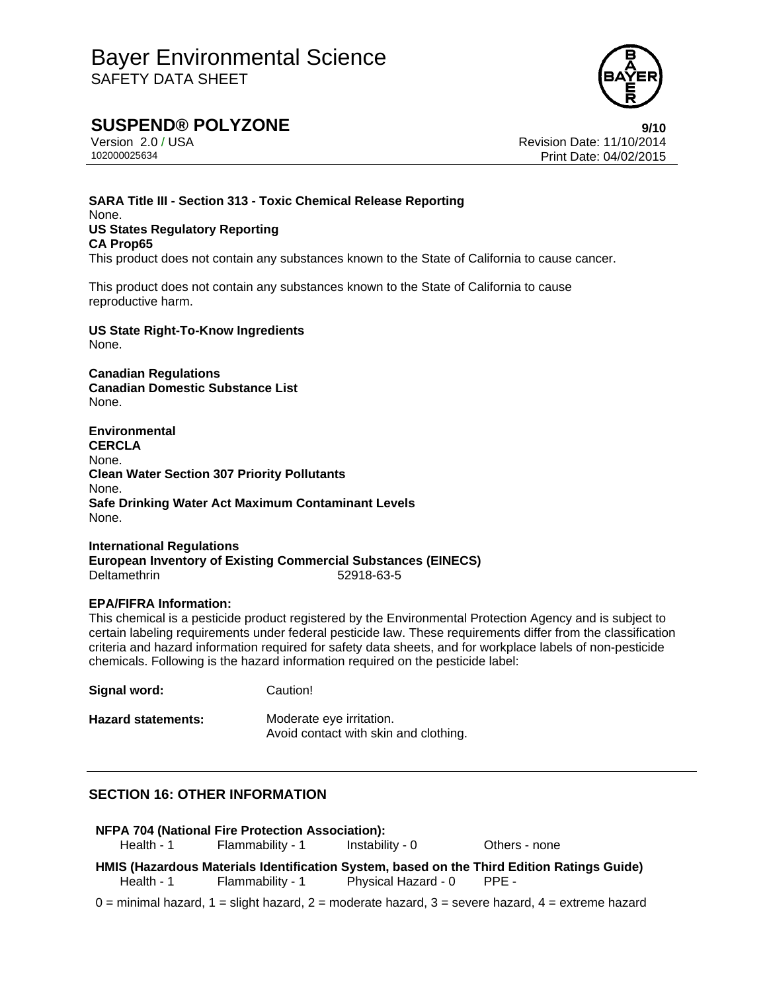

# **SUSPEND® POLYZONE**<br>Version 2.0/USA **11/10/2014** Revision Date: 11/10/2014

Revision Date: 11/10/2014 102000025634 Print Date: 04/02/2015

### **SARA Title III - Section 313 - Toxic Chemical Release Reporting** None. **US States Regulatory Reporting CA Prop65**

This product does not contain any substances known to the State of California to cause cancer.

This product does not contain any substances known to the State of California to cause reproductive harm.

**US State Right-To-Know Ingredients** None.

**Canadian Regulations Canadian Domestic Substance List**  None.

**Environmental CERCLA**  None. **Clean Water Section 307 Priority Pollutants**  None. **Safe Drinking Water Act Maximum Contaminant Levels**  None.

**International Regulations European Inventory of Existing Commercial Substances (EINECS)**  Deltamethrin 52918-63-5

### **EPA/FIFRA Information:**

This chemical is a pesticide product registered by the Environmental Protection Agency and is subject to certain labeling requirements under federal pesticide law. These requirements differ from the classification criteria and hazard information required for safety data sheets, and for workplace labels of non-pesticide chemicals. Following is the hazard information required on the pesticide label:

**Signal word:** Caution! **Hazard statements:** Moderate eye irritation. Avoid contact with skin and clothing.

## **SECTION 16: OTHER INFORMATION**

|            | <b>NFPA 704 (National Fire Protection Association):</b><br>Health - 1 Flammability - 1 | Instability - 0           | Others - none                                                                              |
|------------|----------------------------------------------------------------------------------------|---------------------------|--------------------------------------------------------------------------------------------|
| Health - 1 | Flammability - 1                                                                       | Physical Hazard - 0 PPE - | HMIS (Hazardous Materials Identification System, based on the Third Edition Ratings Guide) |

 $0 =$  minimal hazard,  $1 =$  slight hazard,  $2 =$  moderate hazard,  $3 =$  severe hazard,  $4 =$  extreme hazard